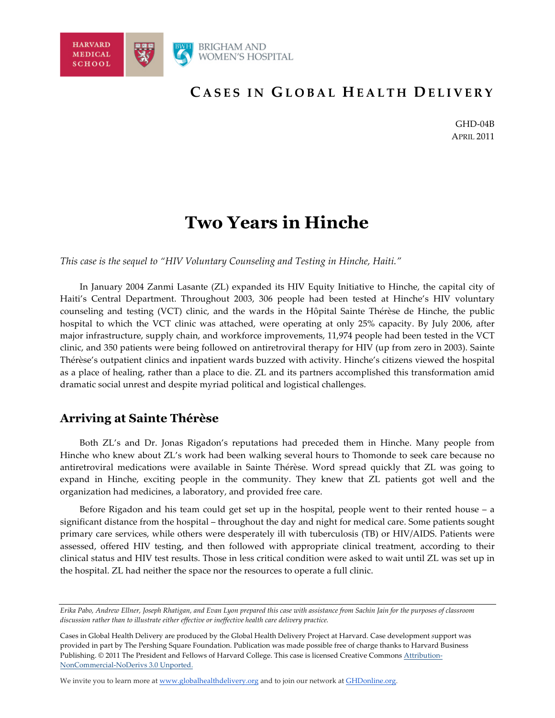

GHD-04B APRIL 2011

# **Two Years in Hinche**

*This case is the sequel to "HIV Voluntary Counseling and Testing in Hinche, Haiti."*

In January 2004 Zanmi Lasante (ZL) expanded its HIV Equity Initiative to Hinche, the capital city of Haiti's Central Department. Throughout 2003, 306 people had been tested at Hinche's HIV voluntary counseling and testing (VCT) clinic, and the wards in the Hôpital Sainte Thérèse de Hinche, the public hospital to which the VCT clinic was attached, were operating at only 25% capacity. By July 2006, after major infrastructure, supply chain, and workforce improvements, 11,974 people had been tested in the VCT clinic, and 350 patients were being followed on antiretroviral therapy for HIV (up from zero in 2003). Sainte Thérèse's outpatient clinics and inpatient wards buzzed with activity. Hinche's citizens viewed the hospital as a place of healing, rather than a place to die. ZL and its partners accomplished this transformation amid dramatic social unrest and despite myriad political and logistical challenges.

## **Arriving at Sainte Thérèse**

Both ZL's and Dr. Jonas Rigadon's reputations had preceded them in Hinche. Many people from Hinche who knew about ZL's work had been walking several hours to Thomonde to seek care because no antiretroviral medications were available in Sainte Thérèse. Word spread quickly that ZL was going to expand in Hinche, exciting people in the community. They knew that ZL patients got well and the organization had medicines, a laboratory, and provided free care.

Before Rigadon and his team could get set up in the hospital, people went to their rented house – a significant distance from the hospital – throughout the day and night for medical care. Some patients sought primary care services, while others were desperately ill with tuberculosis (TB) or HIV/AIDS. Patients were assessed, offered HIV testing, and then followed with appropriate clinical treatment, according to their clinical status and HIV test results. Those in less critical condition were asked to wait until ZL was set up in the hospital. ZL had neither the space nor the resources to operate a full clinic.

We invite you to learn more at www.globalhealthdelivery.org and to join our network at GHDonline.org.

*Erika Pabo, Andrew Ellner, Joseph Rhatigan, and Evan Lyon prepared this case with assistance from Sachin Jain for the purposes of classroom discussion rather than to illustrate either effective or ineffective health care delivery practice.*

Cases in Global Health Delivery are produced by the Global Health Delivery Project at Harvard. Case development *s*upport was provided in part by The Pershing Square Foundation. Publication was made possible free of charge thanks to Harvard Business Publishing. © 2011 The President and Fellows of Harvard College. This case is licensed Creative Commons Attribution-NonCommercial-NoDerivs 3.0 Unported.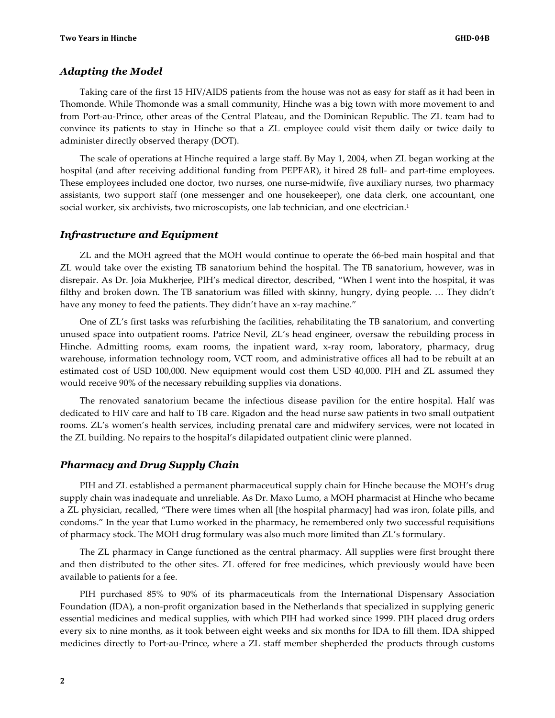#### *Adapting the Model*

Taking care of the first 15 HIV/AIDS patients from the house was not as easy for staff as it had been in Thomonde. While Thomonde was a small community, Hinche was a big town with more movement to and from Port-au-Prince, other areas of the Central Plateau, and the Dominican Republic. The ZL team had to convince its patients to stay in Hinche so that a ZL employee could visit them daily or twice daily to administer directly observed therapy (DOT).

The scale of operations at Hinche required a large staff. By May 1, 2004, when ZL began working at the hospital (and after receiving additional funding from PEPFAR), it hired 28 full- and part-time employees. These employees included one doctor, two nurses, one nurse-midwife, five auxiliary nurses, two pharmacy assistants, two support staff (one messenger and one housekeeper), one data clerk, one accountant, one social worker, six archivists, two microscopists, one lab technician, and one electrician.<sup>1</sup>

#### *Infrastructure and Equipment*

ZL and the MOH agreed that the MOH would continue to operate the 66-bed main hospital and that ZL would take over the existing TB sanatorium behind the hospital. The TB sanatorium, however, was in disrepair. As Dr. Joia Mukherjee, PIH's medical director, described, "When I went into the hospital, it was filthy and broken down. The TB sanatorium was filled with skinny, hungry, dying people. … They didn't have any money to feed the patients. They didn't have an x-ray machine."

One of ZL's first tasks was refurbishing the facilities, rehabilitating the TB sanatorium, and converting unused space into outpatient rooms. Patrice Nevil, ZL's head engineer, oversaw the rebuilding process in Hinche. Admitting rooms, exam rooms, the inpatient ward, x-ray room, laboratory, pharmacy, drug warehouse, information technology room, VCT room, and administrative offices all had to be rebuilt at an estimated cost of USD 100,000. New equipment would cost them USD 40,000. PIH and ZL assumed they would receive 90% of the necessary rebuilding supplies via donations.

The renovated sanatorium became the infectious disease pavilion for the entire hospital. Half was dedicated to HIV care and half to TB care. Rigadon and the head nurse saw patients in two small outpatient rooms. ZL's women's health services, including prenatal care and midwifery services, were not located in the ZL building. No repairs to the hospital's dilapidated outpatient clinic were planned.

#### *Pharmacy and Drug Supply Chain*

PIH and ZL established a permanent pharmaceutical supply chain for Hinche because the MOH's drug supply chain was inadequate and unreliable. As Dr. Maxo Lumo, a MOH pharmacist at Hinche who became a ZL physician, recalled, "There were times when all [the hospital pharmacy] had was iron, folate pills, and condoms." In the year that Lumo worked in the pharmacy, he remembered only two successful requisitions of pharmacy stock. The MOH drug formulary was also much more limited than ZL's formulary.

The ZL pharmacy in Cange functioned as the central pharmacy. All supplies were first brought there and then distributed to the other sites. ZL offered for free medicines, which previously would have been available to patients for a fee.

PIH purchased 85% to 90% of its pharmaceuticals from the International Dispensary Association Foundation (IDA), a non-profit organization based in the Netherlands that specialized in supplying generic essential medicines and medical supplies, with which PIH had worked since 1999. PIH placed drug orders every six to nine months, as it took between eight weeks and six months for IDA to fill them. IDA shipped medicines directly to Port-au-Prince, where a ZL staff member shepherded the products through customs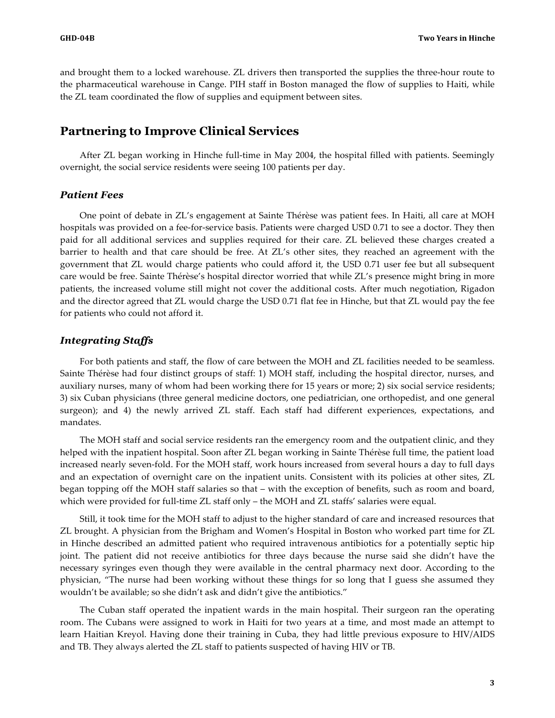and brought them to a locked warehouse. ZL drivers then transported the supplies the three-hour route to the pharmaceutical warehouse in Cange. PIH staff in Boston managed the flow of supplies to Haiti, while the ZL team coordinated the flow of supplies and equipment between sites.

## **Partnering to Improve Clinical Services**

After ZL began working in Hinche full-time in May 2004, the hospital filled with patients. Seemingly overnight, the social service residents were seeing 100 patients per day.

#### *Patient Fees*

One point of debate in ZL's engagement at Sainte Thérèse was patient fees. In Haiti, all care at MOH hospitals was provided on a fee-for-service basis. Patients were charged USD 0.71 to see a doctor. They then paid for all additional services and supplies required for their care. ZL believed these charges created a barrier to health and that care should be free. At ZL's other sites, they reached an agreement with the government that ZL would charge patients who could afford it, the USD 0.71 user fee but all subsequent care would be free. Sainte Thérèse's hospital director worried that while ZL's presence might bring in more patients, the increased volume still might not cover the additional costs. After much negotiation, Rigadon and the director agreed that ZL would charge the USD 0.71 flat fee in Hinche, but that ZL would pay the fee for patients who could not afford it.

#### *Integrating Staffs*

For both patients and staff, the flow of care between the MOH and ZL facilities needed to be seamless. Sainte Thérèse had four distinct groups of staff: 1) MOH staff, including the hospital director, nurses, and auxiliary nurses, many of whom had been working there for 15 years or more; 2) six social service residents; 3) six Cuban physicians (three general medicine doctors, one pediatrician, one orthopedist, and one general surgeon); and 4) the newly arrived ZL staff. Each staff had different experiences, expectations, and mandates.

The MOH staff and social service residents ran the emergency room and the outpatient clinic, and they helped with the inpatient hospital. Soon after ZL began working in Sainte Thérèse full time, the patient load increased nearly seven-fold. For the MOH staff, work hours increased from several hours a day to full days and an expectation of overnight care on the inpatient units. Consistent with its policies at other sites, ZL began topping off the MOH staff salaries so that – with the exception of benefits, such as room and board, which were provided for full-time ZL staff only – the MOH and ZL staffs' salaries were equal.

Still, it took time for the MOH staff to adjust to the higher standard of care and increased resources that ZL brought. A physician from the Brigham and Women's Hospital in Boston who worked part time for ZL in Hinche described an admitted patient who required intravenous antibiotics for a potentially septic hip joint. The patient did not receive antibiotics for three days because the nurse said she didn't have the necessary syringes even though they were available in the central pharmacy next door. According to the physician, "The nurse had been working without these things for so long that I guess she assumed they wouldn't be available; so she didn't ask and didn't give the antibiotics."

The Cuban staff operated the inpatient wards in the main hospital. Their surgeon ran the operating room. The Cubans were assigned to work in Haiti for two years at a time, and most made an attempt to learn Haitian Kreyol. Having done their training in Cuba, they had little previous exposure to HIV/AIDS and TB. They always alerted the ZL staff to patients suspected of having HIV or TB.